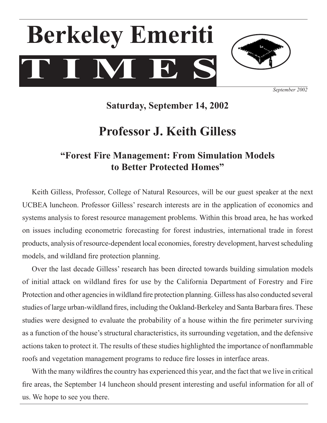# $T$   $I$   $N$   $E$ **Berkeley Emeriti**



*September 2002*

## **Saturday, September 14, 2002**

# **Professor J. Keith Gilless**

## **"Forest Fire Management: From Simulation Models to Better Protected Homes"**

 Keith Gilless, Professor, College of Natural Resources, will be our guest speaker at the next UCBEA luncheon. Professor Gilless' research interests are in the application of economics and systems analysis to forest resource management problems. Within this broad area, he has worked on issues including econometric forecasting for forest industries, international trade in forest products, analysis of resource-dependent local economies, forestry development, harvest scheduling models, and wildland fire protection planning.

 Over the last decade Gilless' research has been directed towards building simulation models of initial attack on wildland fires for use by the California Department of Forestry and Fire Protection and other agencies in wildland fire protection planning. Gilless has also conducted several studies of large urban-wildland fires, including the Oakland-Berkeley and Santa Barbara fires. These studies were designed to evaluate the probability of a house within the fire perimeter surviving as a function of the house's structural characteristics, its surrounding vegetation, and the defensive actions taken to protect it. The results of these studies highlighted the importance of nonflammable roofs and vegetation management programs to reduce fire losses in interface areas.

With the many wildfires the country has experienced this year, and the fact that we live in critical fire areas, the September 14 luncheon should present interesting and useful information for all of us. We hope to see you there.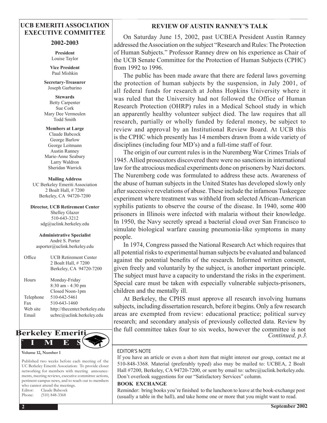#### **UCB EMERITI ASSOCIATION EXECUTIVE COMMITTEE**

#### **2002-2003**

**President** Louise Taylor

**Vice President** Paul Mishkin

**Secretary-Treasurer**  Joseph Garbarino

**Stewards** Betty Carpenter Sue Cork Mary Dee Vermeulen Todd Smith

**Members at Large** Claude Babcock George Barlow George Leitmann Austin Ranney Marie-Anne Seabury Larry Waldron Sheridan Warrick

**Mailing Address** UC Berkeley Emeriti Association 2 Boalt Hall, # 7200 Berkeley, CA 94720-7200

**Director, UCB Retirement Center** Shelley Glazer 510-643-3212 sdg@uclink.berkeley.edu

**Administrative Specialist** André S. Porter asporter@uclink.berkeley.edu

| Office    | <b>UCB Retirement Center</b><br>2 Boalt Hall, #7200<br>Berkeley, CA 94720-7200 |
|-----------|--------------------------------------------------------------------------------|
| Hours     | Monday-Friday<br>$8:30$ am $-4:30$ pm<br>Closed Noon-1pm                       |
| Telephone | 510-642-5461                                                                   |
| Fax       | 510-643-1460                                                                   |
| Web site  | http://thecenter.berkeley.edu                                                  |
| Email     | ucbrc@uclink.berkeley.edu                                                      |
|           |                                                                                |



#### **Volume 12, Number 1**

Published two weeks before each meeting of the UC Berkeley Emeriti Association: To provide closer networking for members with meeting announcements, meeting reviews, executive committee actions, pertinent campus news, and to reach out to members who cannot attend the meetings. Editor: Claude Babcock Phone: (510) 848-3368

#### **REVIEW OF AUSTIN RANNEY'S TALK**

On Saturday June 15, 2002, past UCBEA President Austin Ranney addressed the Association on the subject "Research and Rules: The Protection of Human Subjects." Professor Ranney drew on his experience as Chair of the UCB Senate Committee for the Protection of Human Subjects (CPHC) from 1992 to 1996.

The public has been made aware that there are federal laws governing the protection of human subjects by the suspension, in July 2001, of all federal funds for research at Johns Hopkins University where it was ruled that the University had not followed the Office of Human Research Protection (OHRP) rules in a Medical School study in which an apparently healthy volunteer subject died. The law requires that all research, partially or wholly funded by federal money, be subject to review and approval by an Institutional Review Board. At UCB this is the CPHC which presently has 14 members drawn from a wide variety of disciplines (including four MD's) and a full-time staff of four.

The origin of our current rules is in the Nuremberg War Crimes Trials of 1945. Allied prosecutors discovered there were no sanctions in international law for the atrocious medical experiments done on prisoners by Nazi doctors. The Nuremberg code was formulated to address these acts. Awareness of the abuse of human subjects in the United States has developed slowly only after successive revelations of abuse. These include the infamous Tuskeegee experiment where treatment was withheld from selected African-American syphilis patients to observe the course of the disease. In 1940, some 400 prisoners in Illinois were infected with malaria without their knowledge. In 1950, the Navy secretly spread a bacterial cloud over San Francisco to simulate biological warfare causing pneumonia-like symptoms in many people.

In 1974, Congress passed the National Research Act which requires that all potential risks to experimental human subjects be evaluated and balanced against the potential benefits of the research. Informed written consent, given freely and voluntarily by the subject, is another important principle. The subject must have a capacity to understand the risks in the experiment. Special care must be taken with especially vulnerable subjects-prisoners, children and the mentally ill.

At Berkeley, the CPHS must approve all research involving humans subjects, including dissertation research, before it begins. Only a few research areas are exempted from review: educational practice; political survey research; and secondary analysis of previously collected data. Review by the full committee takes four to six weeks, however the committee is not *Continued, p.3.*

#### EDITOR'S NOTE

If you have an article or even a short item that might interest our group, contact me at 510-848-3368. Material (preferably typed) also may be mailed to: UCBEA, 2 Boalt Hall #7200, Berkeley, CA 94720-7200, or sent by email to: ucbrc@uclink.berkeley.edu. Don't overlook suggestions for our "Satisfactory Services" column.

#### **BOOK EXCHANGE**

Reminder: bring books you're finished to the luncheon to leave at the book-exchange post (usually a table in the hall), and take home one or more that you might want to read.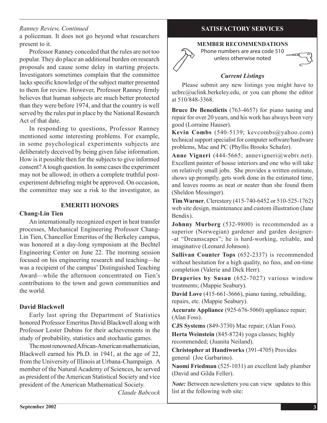#### *Ranney Review, Continued*

a policeman. It does not go beyond what researchers present to it.

 Professor Ranney conceded that the rules are not too popular. They do place an additional burden on research proposals and cause some delay in starting projects. Investigators sometimes complain that the committee lacks specific knowledge of the subject matter presented to them for review. However, Professor Ranney firmly believes that human subjects are much better protected than they were before 1974, and that the country is well served by the rules put in place by the National Research Act of that date.

In responding to questions, Professor Ranney mentioned some interesting problems. For example, in some psychological experiments subjects are deliberately deceived by being given false information. How is it possible then for the subjects to give informed consent? A tough question. In some cases the experiment may not be allowed; in others a complete truthful postexperiment debriefing might be approved. On occasion, the committee may see a risk to the investigator, as

#### **EMERITI HONORS**

#### **Chang-Lin Tien**

An internationally recognized expert in heat transfer processes, Mechanical Engineering Professor Chang-Lin Tien, Chancellor Emeritus of the Berkeley campus, was honored at a day-long symposium at the Bechtel Engineering Center on June 22. The morning session focused on his engineering research and teaching—he was a recipient of the campus' Distinguished Teaching Award—while the afternoon concentrated on Tien's contributions to the town and gown communities and the world.

#### **David Blackwell**

Early last spring the Department of Statistics honored Professor Emeritus David Blackwell along with Professor Lester Dubins for their achievements in the study of probability, statistics and stochastic games.

The most renowned African-American mathematician, Blackwell earned his Ph.D. in 1941, at the age of 22, from the University of Illinois at Urbana-Champaign. A member of the Natural Academy of Sciences, he served as president of the American Statistical Society and vice president of the American Mathematical Society.

 *Claude Babcock*

#### **SATISFACTORY SERVICES**

#### **MEMBER RECOMMENDATIONS**

Phone numbers are area code 510 unless otherwise noted

#### *Current Listings*

Please submit any new listings you might have to ucbrc@uclink.berkeley.edu, or you can phone the editor at 510/848-3368.

**Bruce De Benedictis** (763-4657) for piano tuning and repair for over 20 years, and his work has always been very good (Lorraine Hauser).

**Kevin Combs** (540-5139; kevcombs@yahoo.com) technical support specialist for computer software/hardware problems, Mac and PC (Phyllis Brooks Schafer).

**Anne Vigneri** (444-5665; annevigneri@webtv.net). Excellent painter of house interiors and one who will take on relatively small jobs. She provides a written estimate, shows up promptly, gets work done in the estimated time, and leaves rooms as neat or neater than she found them (Sheldon Messinger).

**Tim Warner**, Clerestory (415-740-6452 or 510-525-1762) web site design, maintenance and custom illustration (Jane Bendix).

**Johnny Murberg** (532-9800) is recommended as a superior (Norwegian) gardener and garden designer- -at "Dreamscapes"; he is hard-working, reliable, and imaginative (Leonard Johnson).

**Sullivan Counter Tops** (652-2337) is recommended without hesitation for a high quality, no fuss, and on-time completion (Valerie and Dick Herr).

**Draperies by Susan** (652-7027) various window treatments; (Mappie Seabury).

**David Love** (415-661-3666), piano tuning, rebuilding, repairs, etc. (Mappie Seabury).

**Accurate Appliance** (925-676-5060) appliance repair; (Alan Foss).

**CJS Systems** (849-3730) Mac repair; (Alan Foss).

**Herta Weinstein** (845-8724) yoga classes; highly recommended; (Juanita Neiland).

**Christopher at Handiworks** (391-4705) Provides general(Joe Garbarino).

**Naomi Friedman** (525-1031) an excellent lady plumber (David and Gilda Feller).

*Note:* Between newsletters you can view updates to this list at the following web site: